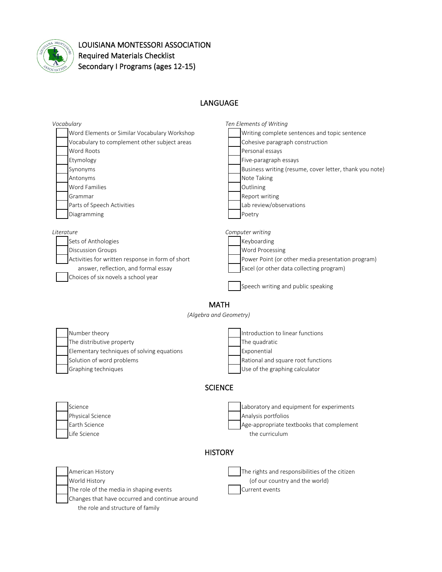

## LOUISIANA MONTESSORI ASSOCIATION Required Materials Checklist Secondary I Programs (ages 12-15)

## LANGUAGE